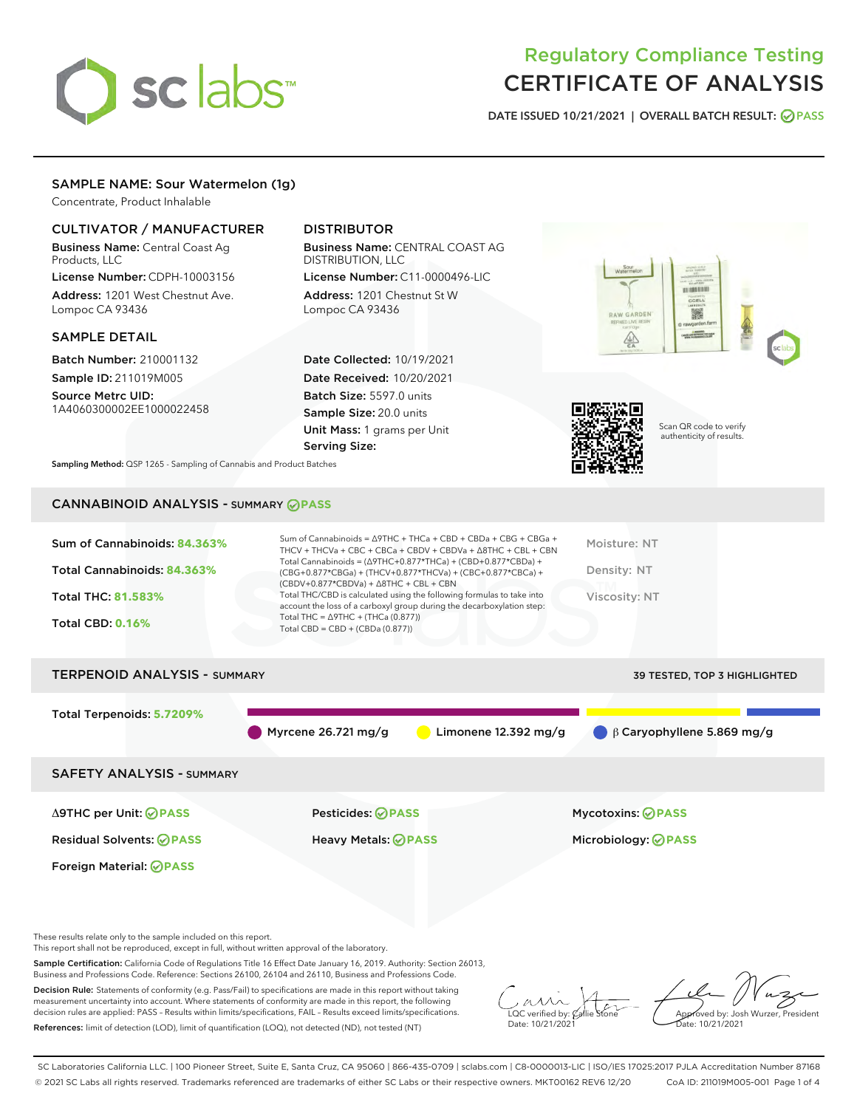

## Regulatory Compliance Testing CERTIFICATE OF ANALYSIS

DATE ISSUED 10/21/2021 | OVERALL BATCH RESULT: @ PASS

#### SAMPLE NAME: Sour Watermelon (1g)

Concentrate, Product Inhalable

#### CULTIVATOR / MANUFACTURER

Business Name: Central Coast Ag Products, LLC

License Number: CDPH-10003156 Address: 1201 West Chestnut Ave. Lompoc CA 93436

#### SAMPLE DETAIL

Batch Number: 210001132 Sample ID: 211019M005

Source Metrc UID: 1A4060300002EE1000022458

### DISTRIBUTOR

Business Name: CENTRAL COAST AG DISTRIBUTION, LLC

License Number: C11-0000496-LIC Address: 1201 Chestnut St W Lompoc CA 93436

Date Collected: 10/19/2021 Date Received: 10/20/2021 Batch Size: 5597.0 units Sample Size: 20.0 units Unit Mass: 1 grams per Unit Serving Size:





Scan QR code to verify authenticity of results.

Sampling Method: QSP 1265 - Sampling of Cannabis and Product Batches

## CANNABINOID ANALYSIS - SUMMARY **PASS**

| Total Cannabinoids = $(\Delta$ 9THC+0.877*THCa) + (CBD+0.877*CBDa) +<br>Total Cannabinoids: 84.363%<br>Density: NT<br>(CBG+0.877*CBGa) + (THCV+0.877*THCVa) + (CBC+0.877*CBCa) +<br>$(CBDV+0.877*CBDVa) + \Delta 8THC + CBL + CBN$<br>Total THC/CBD is calculated using the following formulas to take into<br>Viscosity: NT<br><b>Total THC: 81.583%</b><br>account the loss of a carboxyl group during the decarboxylation step:<br>Total THC = $\triangle$ 9THC + (THCa (0.877))<br><b>Total CBD: 0.16%</b><br>Total CBD = $CBD + (CBDa (0.877))$ | Sum of Cannabinoids: 84.363% | Sum of Cannabinoids = $\triangle$ 9THC + THCa + CBD + CBDa + CBG + CBGa +<br>THCV + THCVa + CBC + CBCa + CBDV + CBDVa + $\Delta$ 8THC + CBL + CBN | Moisture: NT |
|------------------------------------------------------------------------------------------------------------------------------------------------------------------------------------------------------------------------------------------------------------------------------------------------------------------------------------------------------------------------------------------------------------------------------------------------------------------------------------------------------------------------------------------------------|------------------------------|---------------------------------------------------------------------------------------------------------------------------------------------------|--------------|
|                                                                                                                                                                                                                                                                                                                                                                                                                                                                                                                                                      |                              |                                                                                                                                                   |              |
|                                                                                                                                                                                                                                                                                                                                                                                                                                                                                                                                                      |                              |                                                                                                                                                   |              |
|                                                                                                                                                                                                                                                                                                                                                                                                                                                                                                                                                      |                              |                                                                                                                                                   |              |

# TERPENOID ANALYSIS - SUMMARY 39 TESTED, TOP 3 HIGHLIGHTED Total Terpenoids: **5.7209%** Myrcene 26.721 mg/g  $\bigcirc$  Limonene 12.392 mg/g  $\bigcirc$  β Caryophyllene 5.869 mg/g SAFETY ANALYSIS - SUMMARY Δ9THC per Unit: **PASS** Pesticides: **PASS** Mycotoxins: **PASS**

Residual Solvents: **PASS** Heavy Metals: **PASS** Microbiology: **PASS**

These results relate only to the sample included on this report.

Foreign Material: **PASS**

This report shall not be reproduced, except in full, without written approval of the laboratory.

Sample Certification: California Code of Regulations Title 16 Effect Date January 16, 2019. Authority: Section 26013, Business and Professions Code. Reference: Sections 26100, 26104 and 26110, Business and Professions Code.

Decision Rule: Statements of conformity (e.g. Pass/Fail) to specifications are made in this report without taking measurement uncertainty into account. Where statements of conformity are made in this report, the following decision rules are applied: PASS – Results within limits/specifications, FAIL – Results exceed limits/specifications. References: limit of detection (LOD), limit of quantification (LOQ), not detected (ND), not tested (NT)

 $\overline{\text{LOC}}$  verified by:  $\mathcal C$ Date: 10/21/2021

Aved by: Josh Wurzer, President Date: 10/21/2021

SC Laboratories California LLC. | 100 Pioneer Street, Suite E, Santa Cruz, CA 95060 | 866-435-0709 | sclabs.com | C8-0000013-LIC | ISO/IES 17025:2017 PJLA Accreditation Number 87168 © 2021 SC Labs all rights reserved. Trademarks referenced are trademarks of either SC Labs or their respective owners. MKT00162 REV6 12/20 CoA ID: 211019M005-001 Page 1 of 4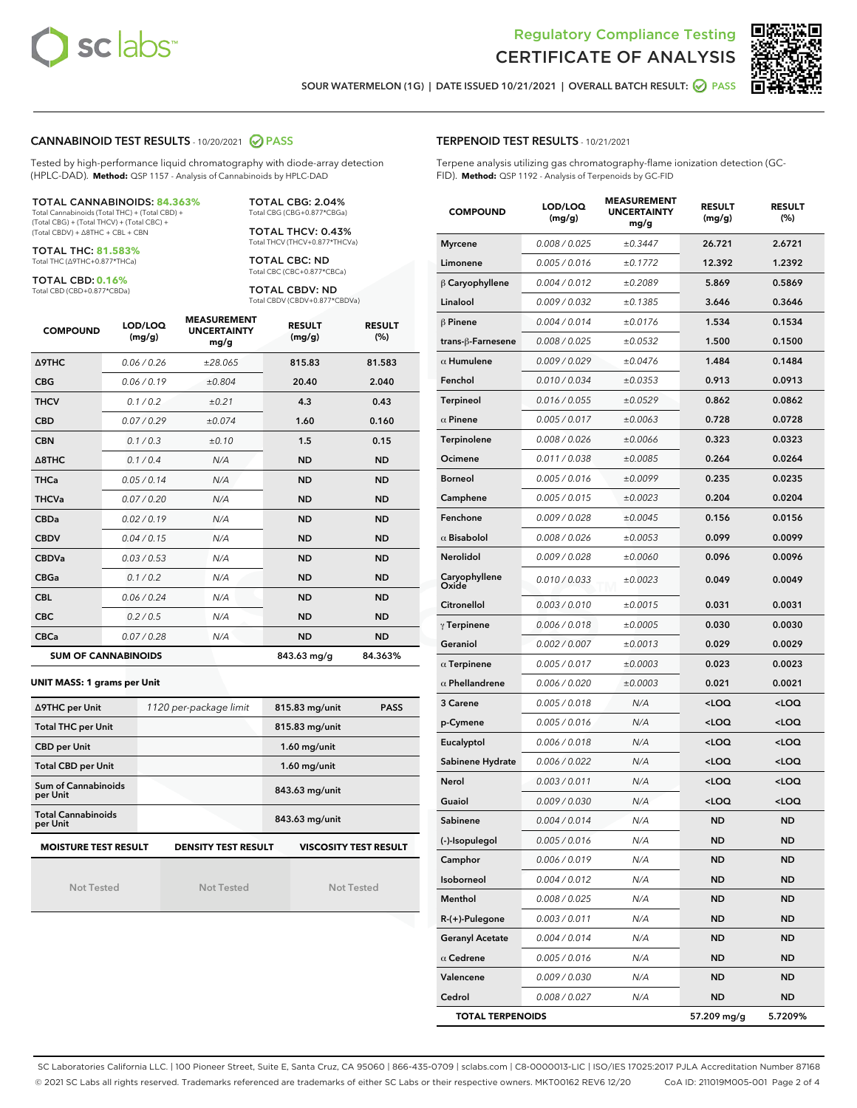



SOUR WATERMELON (1G) | DATE ISSUED 10/21/2021 | OVERALL BATCH RESULT: @ PASS

#### CANNABINOID TEST RESULTS - 10/20/2021 2 PASS

Tested by high-performance liquid chromatography with diode-array detection (HPLC-DAD). **Method:** QSP 1157 - Analysis of Cannabinoids by HPLC-DAD

#### TOTAL CANNABINOIDS: **84.363%**

Total Cannabinoids (Total THC) + (Total CBD) + (Total CBG) + (Total THCV) + (Total CBC) + (Total CBDV) + ∆8THC + CBL + CBN

TOTAL THC: **81.583%** Total THC (∆9THC+0.877\*THCa)

TOTAL CBD: **0.16%**

Total CBD (CBD+0.877\*CBDa)

TOTAL CBG: 2.04% Total CBG (CBG+0.877\*CBGa)

TOTAL THCV: 0.43% Total THCV (THCV+0.877\*THCVa)

TOTAL CBC: ND Total CBC (CBC+0.877\*CBCa)

TOTAL CBDV: ND Total CBDV (CBDV+0.877\*CBDVa)

| <b>COMPOUND</b>            | LOD/LOQ<br>(mg/g) | <b>MEASUREMENT</b><br><b>UNCERTAINTY</b><br>mg/g | <b>RESULT</b><br>(mg/g) | <b>RESULT</b><br>(%) |
|----------------------------|-------------------|--------------------------------------------------|-------------------------|----------------------|
| <b>A9THC</b>               | 0.06 / 0.26       | ±28.065                                          | 815.83                  | 81.583               |
| <b>CBG</b>                 | 0.06 / 0.19       | ±0.804                                           | 20.40                   | 2.040                |
| <b>THCV</b>                | 0.1 / 0.2         | ±0.21                                            | 4.3                     | 0.43                 |
| <b>CBD</b>                 | 0.07/0.29         | ±0.074                                           | 1.60                    | 0.160                |
| <b>CBN</b>                 | 0.1 / 0.3         | $\pm 0.10$                                       | 1.5                     | 0.15                 |
| $\triangle$ 8THC           | 0.1/0.4           | N/A                                              | <b>ND</b>               | <b>ND</b>            |
| <b>THCa</b>                | 0.05/0.14         | N/A                                              | <b>ND</b>               | <b>ND</b>            |
| <b>THCVa</b>               | 0.07/0.20         | N/A                                              | <b>ND</b>               | <b>ND</b>            |
| <b>CBDa</b>                | 0.02/0.19         | N/A                                              | <b>ND</b>               | <b>ND</b>            |
| <b>CBDV</b>                | 0.04 / 0.15       | N/A                                              | <b>ND</b>               | <b>ND</b>            |
| <b>CBDVa</b>               | 0.03/0.53         | N/A                                              | <b>ND</b>               | <b>ND</b>            |
| <b>CBGa</b>                | 0.1/0.2           | N/A                                              | <b>ND</b>               | <b>ND</b>            |
| <b>CBL</b>                 | 0.06 / 0.24       | N/A                                              | <b>ND</b>               | <b>ND</b>            |
| <b>CBC</b>                 | 0.2 / 0.5         | N/A                                              | <b>ND</b>               | <b>ND</b>            |
| <b>CBCa</b>                | 0.07 / 0.28       | N/A                                              | <b>ND</b>               | <b>ND</b>            |
| <b>SUM OF CANNABINOIDS</b> |                   |                                                  | 843.63 mg/g             | 84.363%              |

#### **UNIT MASS: 1 grams per Unit**

| ∆9THC per Unit                                                                            | 1120 per-package limit | 815.83 mg/unit<br><b>PASS</b> |  |  |  |
|-------------------------------------------------------------------------------------------|------------------------|-------------------------------|--|--|--|
| <b>Total THC per Unit</b>                                                                 |                        | 815.83 mg/unit                |  |  |  |
| <b>CBD per Unit</b>                                                                       |                        | $1.60$ mg/unit                |  |  |  |
| <b>Total CBD per Unit</b>                                                                 |                        | $1.60$ mg/unit                |  |  |  |
| Sum of Cannabinoids<br>per Unit                                                           |                        | 843.63 mg/unit                |  |  |  |
| <b>Total Cannabinoids</b><br>per Unit                                                     |                        | 843.63 mg/unit                |  |  |  |
| <b>MOISTURE TEST RESULT</b><br><b>DENSITY TEST RESULT</b><br><b>VISCOSITY TEST RESULT</b> |                        |                               |  |  |  |

Not Tested

Not Tested

Not Tested

#### TERPENOID TEST RESULTS - 10/21/2021

Terpene analysis utilizing gas chromatography-flame ionization detection (GC-FID). **Method:** QSP 1192 - Analysis of Terpenoids by GC-FID

| <b>COMPOUND</b>         | LOD/LOQ<br>(mg/g) | <b>MEASUREMENT</b><br><b>UNCERTAINTY</b><br>mg/g | <b>RESULT</b><br>(mg/g)                         | <b>RESULT</b><br>(%) |  |
|-------------------------|-------------------|--------------------------------------------------|-------------------------------------------------|----------------------|--|
| <b>Myrcene</b>          | 0.008 / 0.025     | ±0.3447                                          | 26.721                                          | 2.6721               |  |
| Limonene                | 0.005 / 0.016     | ±0.1772                                          | 12.392                                          | 1.2392               |  |
| $\beta$ Caryophyllene   | 0.004 / 0.012     | ±0.2089                                          | 5.869                                           | 0.5869               |  |
| Linalool                | 0.009 / 0.032     | ±0.1385                                          | 3.646                                           | 0.3646               |  |
| $\beta$ Pinene          | 0.004 / 0.014     | ±0.0176                                          | 1.534                                           | 0.1534               |  |
| trans-ß-Farnesene       | 0.008 / 0.025     | ±0.0532                                          | 1.500                                           | 0.1500               |  |
| $\alpha$ Humulene       | 0.009 / 0.029     | ±0.0476                                          | 1.484                                           | 0.1484               |  |
| Fenchol                 | 0.010 / 0.034     | ±0.0353                                          | 0.913                                           | 0.0913               |  |
| Terpineol               | 0.016 / 0.055     | ±0.0529                                          | 0.862                                           | 0.0862               |  |
| $\alpha$ Pinene         | 0.005 / 0.017     | ±0.0063                                          | 0.728                                           | 0.0728               |  |
| Terpinolene             | 0.008 / 0.026     | ±0.0066                                          | 0.323                                           | 0.0323               |  |
| Ocimene                 | 0.011 / 0.038     | ±0.0085                                          | 0.264                                           | 0.0264               |  |
| <b>Borneol</b>          | 0.005 / 0.016     | ±0.0099                                          | 0.235                                           | 0.0235               |  |
| Camphene                | 0.005 / 0.015     | ±0.0023                                          | 0.204                                           | 0.0204               |  |
| Fenchone                | 0.009 / 0.028     | ±0.0045                                          | 0.156                                           | 0.0156               |  |
| $\alpha$ Bisabolol      | 0.008 / 0.026     | ±0.0053                                          | 0.099                                           | 0.0099               |  |
| Nerolidol               | 0.009 / 0.028     | ±0.0060                                          | 0.096                                           | 0.0096               |  |
| Caryophyllene<br>Oxide  | 0.010 / 0.033     | ±0.0023                                          | 0.049                                           | 0.0049               |  |
| Citronellol             | 0.003 / 0.010     | ±0.0015                                          | 0.031                                           | 0.0031               |  |
| $\gamma$ Terpinene      | 0.006 / 0.018     | ±0.0005                                          | 0.030                                           | 0.0030               |  |
| Geraniol                | 0.002 / 0.007     | ±0.0013                                          | 0.029                                           | 0.0029               |  |
| $\alpha$ Terpinene      | 0.005 / 0.017     | ±0.0003                                          | 0.023                                           | 0.0023               |  |
| $\alpha$ Phellandrene   | 0.006 / 0.020     | ±0.0003                                          | 0.021                                           | 0.0021               |  |
| 3 Carene                | 0.005 / 0.018     | N/A                                              | <loq< th=""><th><loq< th=""></loq<></th></loq<> | <loq< th=""></loq<>  |  |
| p-Cymene                | 0.005 / 0.016     | N/A                                              | <loq< th=""><th><loq< th=""></loq<></th></loq<> | <loq< th=""></loq<>  |  |
| Eucalyptol              | 0.006 / 0.018     | N/A                                              | <loq< th=""><th><loq< th=""></loq<></th></loq<> | <loq< th=""></loq<>  |  |
| Sabinene Hydrate        | 0.006 / 0.022     | N/A                                              | <loq< th=""><th><loq< th=""></loq<></th></loq<> | <loq< th=""></loq<>  |  |
| Nerol                   | 0.003 / 0.011     | N/A                                              | <loq< th=""><th><loq< th=""></loq<></th></loq<> | <loq< th=""></loq<>  |  |
| Guaiol                  | 0.009 / 0.030     | N/A                                              | <loq< th=""><th><loq< th=""></loq<></th></loq<> | <loq< th=""></loq<>  |  |
| Sabinene                | 0.004 / 0.014     | N/A                                              | <b>ND</b>                                       | <b>ND</b>            |  |
| (-)-Isopulegol          | 0.005 / 0.016     | N/A                                              | ND                                              | ND                   |  |
| Camphor                 | 0.006 / 0.019     | N/A                                              | <b>ND</b>                                       | <b>ND</b>            |  |
| Isoborneol              | 0.004 / 0.012     | N/A                                              | <b>ND</b>                                       | <b>ND</b>            |  |
| Menthol                 | 0.008 / 0.025     | N/A                                              | ND                                              | ND                   |  |
| R-(+)-Pulegone          | 0.003 / 0.011     | N/A                                              | ND                                              | ND                   |  |
| <b>Geranyl Acetate</b>  | 0.004 / 0.014     | N/A                                              | <b>ND</b>                                       | <b>ND</b>            |  |
| $\alpha$ Cedrene        | 0.005 / 0.016     | N/A                                              | ND                                              | ND                   |  |
| Valencene               | 0.009 / 0.030     | N/A                                              | ND                                              | <b>ND</b>            |  |
| Cedrol                  | 0.008 / 0.027     | N/A                                              | <b>ND</b>                                       | <b>ND</b>            |  |
| <b>TOTAL TERPENOIDS</b> |                   |                                                  | 57.209 mg/g                                     | 5.7209%              |  |

SC Laboratories California LLC. | 100 Pioneer Street, Suite E, Santa Cruz, CA 95060 | 866-435-0709 | sclabs.com | C8-0000013-LIC | ISO/IES 17025:2017 PJLA Accreditation Number 87168 © 2021 SC Labs all rights reserved. Trademarks referenced are trademarks of either SC Labs or their respective owners. MKT00162 REV6 12/20 CoA ID: 211019M005-001 Page 2 of 4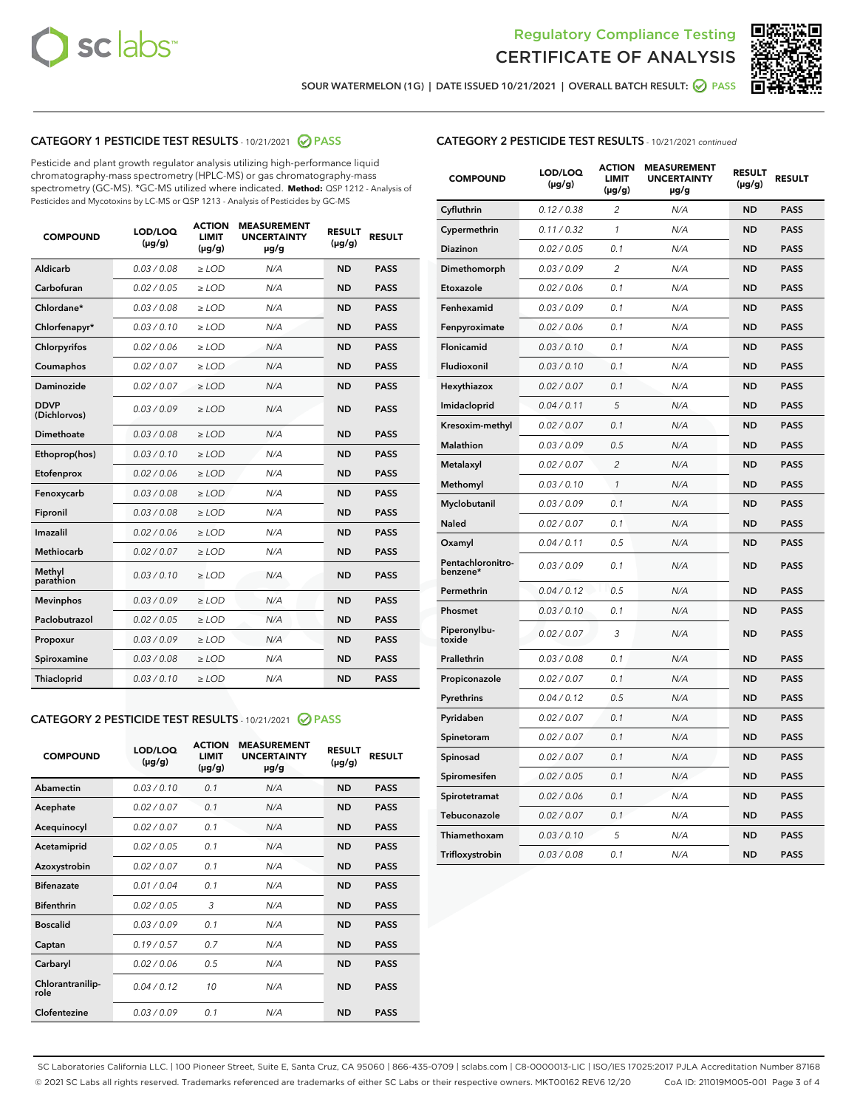



SOUR WATERMELON (1G) | DATE ISSUED 10/21/2021 | OVERALL BATCH RESULT: @ PASS

#### CATEGORY 1 PESTICIDE TEST RESULTS - 10/21/2021 @ PASS

Pesticide and plant growth regulator analysis utilizing high-performance liquid chromatography-mass spectrometry (HPLC-MS) or gas chromatography-mass spectrometry (GC-MS). \*GC-MS utilized where indicated. **Method:** QSP 1212 - Analysis of Pesticides and Mycotoxins by LC-MS or QSP 1213 - Analysis of Pesticides by GC-MS

| <b>COMPOUND</b>             | LOD/LOQ<br>$(\mu g/g)$ | <b>ACTION</b><br><b>LIMIT</b><br>$(\mu q/q)$ | <b>MEASUREMENT</b><br><b>UNCERTAINTY</b><br>$\mu$ g/g | <b>RESULT</b><br>$(\mu g/g)$ | <b>RESULT</b> |
|-----------------------------|------------------------|----------------------------------------------|-------------------------------------------------------|------------------------------|---------------|
| Aldicarb                    | 0.03 / 0.08            | $\ge$ LOD                                    | N/A                                                   | <b>ND</b>                    | <b>PASS</b>   |
| Carbofuran                  | 0.02/0.05              | $>$ LOD                                      | N/A                                                   | <b>ND</b>                    | <b>PASS</b>   |
| Chlordane*                  | 0.03 / 0.08            | $\ge$ LOD                                    | N/A                                                   | <b>ND</b>                    | <b>PASS</b>   |
| Chlorfenapyr*               | 0.03/0.10              | $\ge$ LOD                                    | N/A                                                   | <b>ND</b>                    | <b>PASS</b>   |
| Chlorpyrifos                | 0.02 / 0.06            | $\ge$ LOD                                    | N/A                                                   | <b>ND</b>                    | <b>PASS</b>   |
| Coumaphos                   | 0.02 / 0.07            | $>$ LOD                                      | N/A                                                   | <b>ND</b>                    | <b>PASS</b>   |
| <b>Daminozide</b>           | 0.02 / 0.07            | $\ge$ LOD                                    | N/A                                                   | <b>ND</b>                    | <b>PASS</b>   |
| <b>DDVP</b><br>(Dichlorvos) | 0.03/0.09              | $\ge$ LOD                                    | N/A                                                   | <b>ND</b>                    | <b>PASS</b>   |
| <b>Dimethoate</b>           | 0.03 / 0.08            | $\ge$ LOD                                    | N/A                                                   | <b>ND</b>                    | <b>PASS</b>   |
| Ethoprop(hos)               | 0.03/0.10              | $\ge$ LOD                                    | N/A                                                   | <b>ND</b>                    | <b>PASS</b>   |
| Etofenprox                  | 0.02 / 0.06            | $\ge$ LOD                                    | N/A                                                   | <b>ND</b>                    | <b>PASS</b>   |
| Fenoxycarb                  | 0.03 / 0.08            | $\ge$ LOD                                    | N/A                                                   | <b>ND</b>                    | <b>PASS</b>   |
| Fipronil                    | 0.03/0.08              | $>$ LOD                                      | N/A                                                   | <b>ND</b>                    | <b>PASS</b>   |
| Imazalil                    | 0.02 / 0.06            | $\ge$ LOD                                    | N/A                                                   | <b>ND</b>                    | <b>PASS</b>   |
| Methiocarb                  | 0.02 / 0.07            | $\ge$ LOD                                    | N/A                                                   | <b>ND</b>                    | <b>PASS</b>   |
| Methyl<br>parathion         | 0.03/0.10              | $>$ LOD                                      | N/A                                                   | <b>ND</b>                    | <b>PASS</b>   |
| <b>Mevinphos</b>            | 0.03/0.09              | $>$ LOD                                      | N/A                                                   | <b>ND</b>                    | <b>PASS</b>   |
| Paclobutrazol               | 0.02 / 0.05            | $\ge$ LOD                                    | N/A                                                   | <b>ND</b>                    | <b>PASS</b>   |
| Propoxur                    | 0.03/0.09              | $\ge$ LOD                                    | N/A                                                   | <b>ND</b>                    | <b>PASS</b>   |
| Spiroxamine                 | 0.03 / 0.08            | $\ge$ LOD                                    | N/A                                                   | <b>ND</b>                    | <b>PASS</b>   |
| <b>Thiacloprid</b>          | 0.03/0.10              | $\ge$ LOD                                    | N/A                                                   | <b>ND</b>                    | <b>PASS</b>   |

#### CATEGORY 2 PESTICIDE TEST RESULTS - 10/21/2021 @ PASS

| <b>COMPOUND</b>          | LOD/LOO<br>$(\mu g/g)$ | <b>ACTION</b><br>LIMIT<br>$(\mu g/g)$ | <b>MEASUREMENT</b><br><b>UNCERTAINTY</b><br>$\mu$ g/g | <b>RESULT</b><br>$(\mu g/g)$ | <b>RESULT</b> |
|--------------------------|------------------------|---------------------------------------|-------------------------------------------------------|------------------------------|---------------|
| Abamectin                | 0.03/0.10              | 0.1                                   | N/A                                                   | <b>ND</b>                    | <b>PASS</b>   |
| Acephate                 | 0.02/0.07              | 0.1                                   | N/A                                                   | <b>ND</b>                    | <b>PASS</b>   |
| Acequinocyl              | 0.02/0.07              | 0.1                                   | N/A                                                   | <b>ND</b>                    | <b>PASS</b>   |
| Acetamiprid              | 0.02/0.05              | 0.1                                   | N/A                                                   | <b>ND</b>                    | <b>PASS</b>   |
| Azoxystrobin             | 0.02/0.07              | 0.1                                   | N/A                                                   | <b>ND</b>                    | <b>PASS</b>   |
| <b>Bifenazate</b>        | 0.01/0.04              | 0.1                                   | N/A                                                   | <b>ND</b>                    | <b>PASS</b>   |
| <b>Bifenthrin</b>        | 0.02 / 0.05            | 3                                     | N/A                                                   | <b>ND</b>                    | <b>PASS</b>   |
| <b>Boscalid</b>          | 0.03/0.09              | 0.1                                   | N/A                                                   | <b>ND</b>                    | <b>PASS</b>   |
| Captan                   | 0.19/0.57              | 0.7                                   | N/A                                                   | <b>ND</b>                    | <b>PASS</b>   |
| Carbaryl                 | 0.02/0.06              | 0.5                                   | N/A                                                   | <b>ND</b>                    | <b>PASS</b>   |
| Chlorantranilip-<br>role | 0.04/0.12              | 10                                    | N/A                                                   | <b>ND</b>                    | <b>PASS</b>   |
| Clofentezine             | 0.03/0.09              | 0.1                                   | N/A                                                   | <b>ND</b>                    | <b>PASS</b>   |

| <b>COMPOUND</b>               | LOD/LOQ<br>$(\mu g/g)$ | <b>ACTION</b><br>LIMIT<br>(µg/g) | <b>MEASUREMENT</b><br><b>UNCERTAINTY</b><br>µg/g | <b>RESULT</b><br>$(\mu g/g)$ | <b>RESULT</b> |
|-------------------------------|------------------------|----------------------------------|--------------------------------------------------|------------------------------|---------------|
| Cyfluthrin                    | 0.12 / 0.38            | $\overline{2}$                   | N/A                                              | <b>ND</b>                    | <b>PASS</b>   |
| Cypermethrin                  | 0.11 / 0.32            | 1                                | N/A                                              | <b>ND</b>                    | <b>PASS</b>   |
| Diazinon                      | 0.02 / 0.05            | 0.1                              | N/A                                              | <b>ND</b>                    | <b>PASS</b>   |
| Dimethomorph                  | 0.03 / 0.09            | $\overline{2}$                   | N/A                                              | <b>ND</b>                    | <b>PASS</b>   |
| Etoxazole                     | 0.02 / 0.06            | 0.1                              | N/A                                              | <b>ND</b>                    | <b>PASS</b>   |
| Fenhexamid                    | 0.03 / 0.09            | 0.1                              | N/A                                              | <b>ND</b>                    | <b>PASS</b>   |
| Fenpyroximate                 | 0.02 / 0.06            | 0.1                              | N/A                                              | <b>ND</b>                    | <b>PASS</b>   |
| Flonicamid                    | 0.03 / 0.10            | 0.1                              | N/A                                              | ND                           | <b>PASS</b>   |
| Fludioxonil                   | 0.03 / 0.10            | 0.1                              | N/A                                              | <b>ND</b>                    | <b>PASS</b>   |
| Hexythiazox                   | 0.02 / 0.07            | 0.1                              | N/A                                              | <b>ND</b>                    | <b>PASS</b>   |
| Imidacloprid                  | 0.04 / 0.11            | 5                                | N/A                                              | <b>ND</b>                    | <b>PASS</b>   |
| Kresoxim-methyl               | 0.02 / 0.07            | 0.1                              | N/A                                              | ND                           | <b>PASS</b>   |
| <b>Malathion</b>              | 0.03 / 0.09            | 0.5                              | N/A                                              | <b>ND</b>                    | <b>PASS</b>   |
| Metalaxyl                     | 0.02 / 0.07            | $\overline{c}$                   | N/A                                              | <b>ND</b>                    | <b>PASS</b>   |
| Methomyl                      | 0.03 / 0.10            | $\mathcal{I}$                    | N/A                                              | <b>ND</b>                    | <b>PASS</b>   |
| Myclobutanil                  | 0.03/0.09              | 0.1                              | N/A                                              | <b>ND</b>                    | <b>PASS</b>   |
| Naled                         | 0.02 / 0.07            | 0.1                              | N/A                                              | <b>ND</b>                    | <b>PASS</b>   |
| Oxamyl                        | 0.04 / 0.11            | 0.5                              | N/A                                              | ND                           | <b>PASS</b>   |
| Pentachloronitro-<br>benzene* | 0.03 / 0.09            | 0.1                              | N/A                                              | <b>ND</b>                    | <b>PASS</b>   |
| Permethrin                    | 0.04 / 0.12            | 0.5                              | N/A                                              | <b>ND</b>                    | <b>PASS</b>   |
| Phosmet                       | 0.03 / 0.10            | 0.1                              | N/A                                              | <b>ND</b>                    | <b>PASS</b>   |
| Piperonylbu-<br>toxide        | 0.02 / 0.07            | 3                                | N/A                                              | <b>ND</b>                    | <b>PASS</b>   |
| Prallethrin                   | 0.03 / 0.08            | 0.1                              | N/A                                              | ND                           | <b>PASS</b>   |
| Propiconazole                 | 0.02 / 0.07            | 0.1                              | N/A                                              | <b>ND</b>                    | <b>PASS</b>   |
| Pyrethrins                    | 0.04 / 0.12            | 0.5                              | N/A                                              | <b>ND</b>                    | <b>PASS</b>   |
| Pyridaben                     | 0.02 / 0.07            | 0.1                              | N/A                                              | ND                           | <b>PASS</b>   |
| Spinetoram                    | 0.02 / 0.07            | 0.1                              | N/A                                              | <b>ND</b>                    | <b>PASS</b>   |
| Spinosad                      | 0.02 / 0.07            | 0.1                              | N/A                                              | ND                           | <b>PASS</b>   |
| Spiromesifen                  | 0.02 / 0.05            | 0.1                              | N/A                                              | <b>ND</b>                    | <b>PASS</b>   |
| Spirotetramat                 | 0.02 / 0.06            | 0.1                              | N/A                                              | ND                           | PASS          |
| Tebuconazole                  | 0.02 / 0.07            | 0.1                              | N/A                                              | <b>ND</b>                    | <b>PASS</b>   |
| Thiamethoxam                  | 0.03 / 0.10            | 5                                | N/A                                              | <b>ND</b>                    | <b>PASS</b>   |
| Trifloxystrobin               | 0.03 / 0.08            | 0.1                              | N/A                                              | <b>ND</b>                    | <b>PASS</b>   |

SC Laboratories California LLC. | 100 Pioneer Street, Suite E, Santa Cruz, CA 95060 | 866-435-0709 | sclabs.com | C8-0000013-LIC | ISO/IES 17025:2017 PJLA Accreditation Number 87168 © 2021 SC Labs all rights reserved. Trademarks referenced are trademarks of either SC Labs or their respective owners. MKT00162 REV6 12/20 CoA ID: 211019M005-001 Page 3 of 4